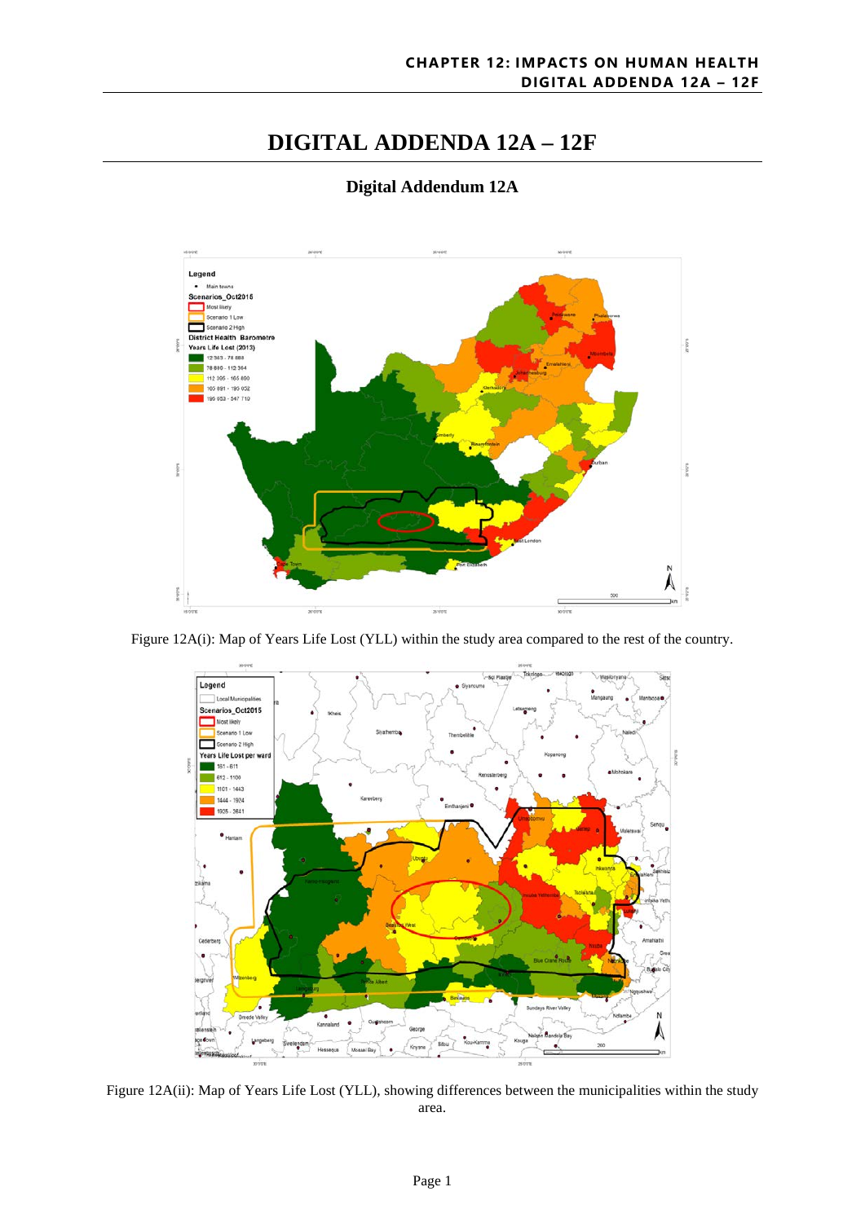# **DIGITAL ADDENDA 12A – 12F**



## **Digital Addendum 12A**

Figure 12A(i): Map of Years Life Lost (YLL) within the study area compared to the rest of the country.



Figure 12A(ii): Map of Years Life Lost (YLL), showing differences between the municipalities within the study area.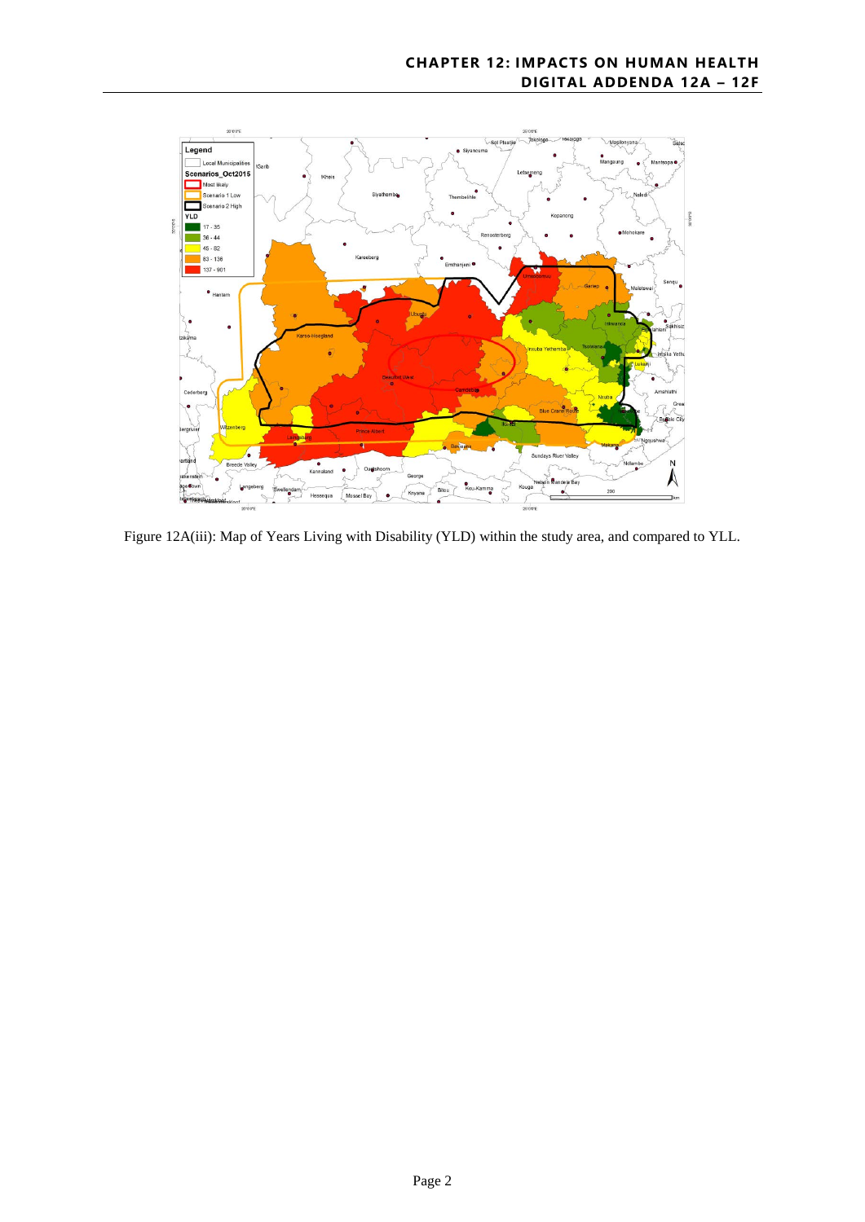

Figure 12A(iii): Map of Years Living with Disability (YLD) within the study area, and compared to YLL.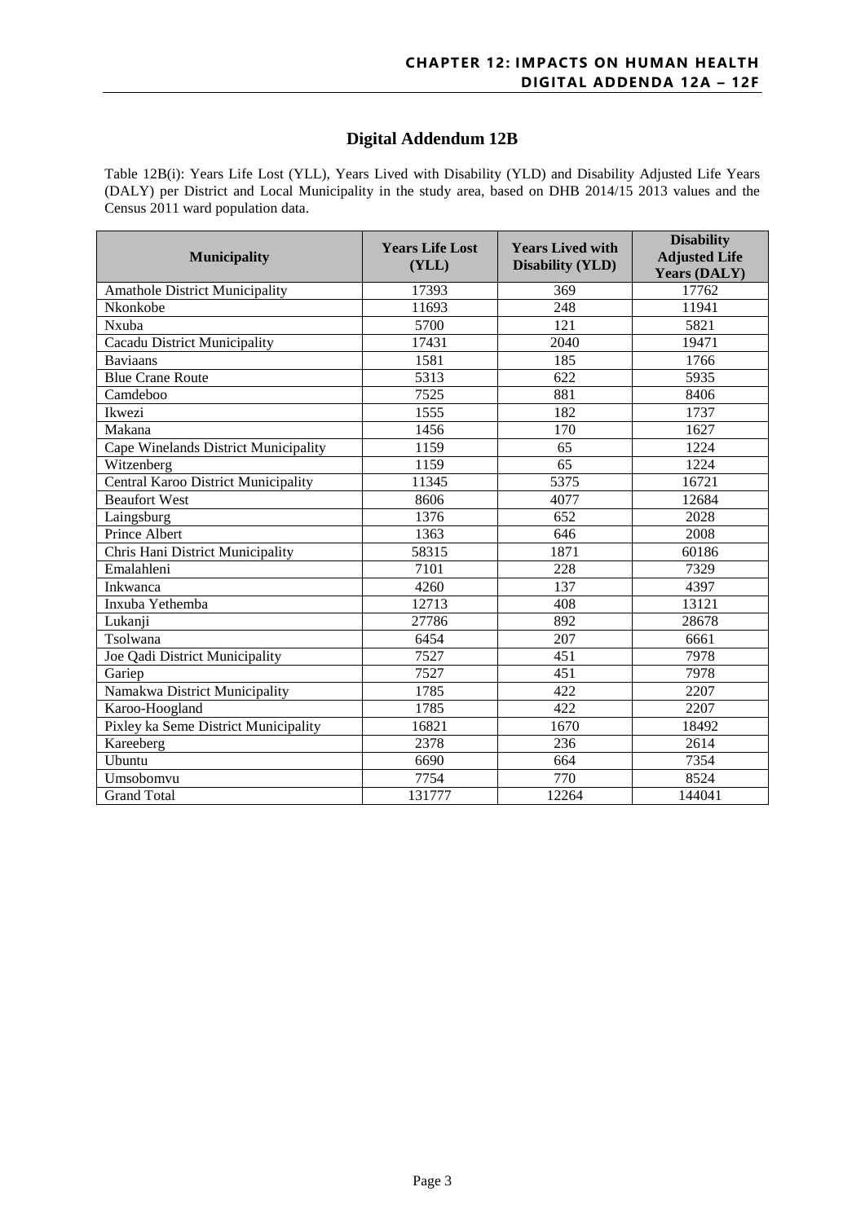### **Digital Addendum 12B**

Table 12B(i): Years Life Lost (YLL), Years Lived with Disability (YLD) and Disability Adjusted Life Years (DALY) per District and Local Municipality in the study area, based on DHB 2014/15 2013 values and the Census 2011 ward population data.

| <b>Municipality</b>                   | <b>Years Life Lost</b><br>(YLL) | <b>Years Lived with</b><br><b>Disability (YLD)</b> | <b>Disability</b><br><b>Adjusted Life</b><br><b>Years (DALY)</b> |  |
|---------------------------------------|---------------------------------|----------------------------------------------------|------------------------------------------------------------------|--|
| <b>Amathole District Municipality</b> | 17393                           | 369                                                | 17762                                                            |  |
| Nkonkobe                              | 11693                           | 248                                                | 11941                                                            |  |
| Nxuba                                 | 5700                            | 121                                                | 5821                                                             |  |
| Cacadu District Municipality          | 17431                           | 2040                                               | 19471                                                            |  |
| <b>Baviaans</b>                       | 1581                            | 185                                                | 1766                                                             |  |
| <b>Blue Crane Route</b>               | 5313                            | 622                                                | 5935                                                             |  |
| Camdeboo                              | 7525                            | 881                                                | 8406                                                             |  |
| Ikwezi                                | 1555                            | 182                                                | 1737                                                             |  |
| Makana                                | 1456                            | 170                                                | 1627                                                             |  |
| Cape Winelands District Municipality  | 1159                            | 65                                                 | 1224                                                             |  |
| Witzenberg                            | 1159                            | 65                                                 | 1224                                                             |  |
| Central Karoo District Municipality   | 11345                           | 5375                                               | 16721                                                            |  |
| <b>Beaufort West</b>                  | 8606                            | 4077                                               | 12684                                                            |  |
| Laingsburg                            | 1376                            | 652                                                | 2028                                                             |  |
| Prince Albert                         | 1363                            | 646                                                | 2008                                                             |  |
| Chris Hani District Municipality      | 58315                           | 1871                                               | 60186                                                            |  |
| Emalahleni                            | 7101                            | 228                                                | 7329                                                             |  |
| Inkwanca                              | 4260                            | 137                                                | 4397                                                             |  |
| Inxuba Yethemba                       | 12713                           | $\overline{408}$                                   | 13121                                                            |  |
| Lukanji                               | 27786                           | 892                                                | 28678                                                            |  |
| Tsolwana                              | 6454                            | 207                                                | 6661                                                             |  |
| Joe Qadi District Municipality        | 7527                            | 451                                                | 7978                                                             |  |
| Gariep                                | 7527                            | 451                                                | 7978                                                             |  |
| Namakwa District Municipality         | 1785                            | 422                                                | 2207                                                             |  |
| Karoo-Hoogland                        | 1785                            | 422                                                | 2207                                                             |  |
| Pixley ka Seme District Municipality  | 16821                           | 1670                                               | 18492                                                            |  |
| Kareeberg                             | 2378                            | 236                                                | 2614                                                             |  |
| Ubuntu                                | 6690                            | 664                                                | 7354                                                             |  |
| Umsobomvu                             | 7754                            | 770                                                | 8524                                                             |  |
| <b>Grand Total</b>                    | 131777                          | 12264                                              | 144041                                                           |  |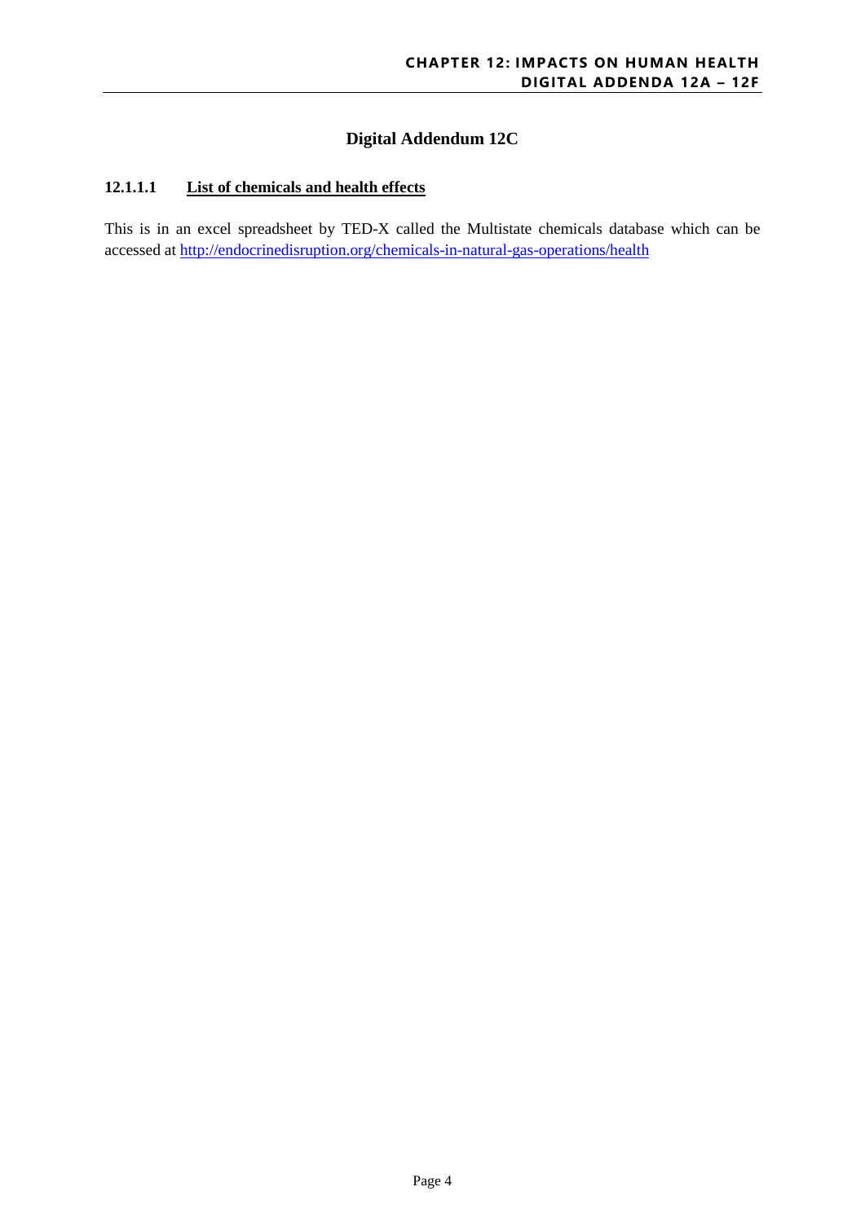## **Digital Addendum 12C**

#### **12.1.1.1 List of chemicals and health effects**

This is in an excel spreadsheet by TED-X called the Multistate chemicals database which can be accessed at<http://endocrinedisruption.org/chemicals-in-natural-gas-operations/health>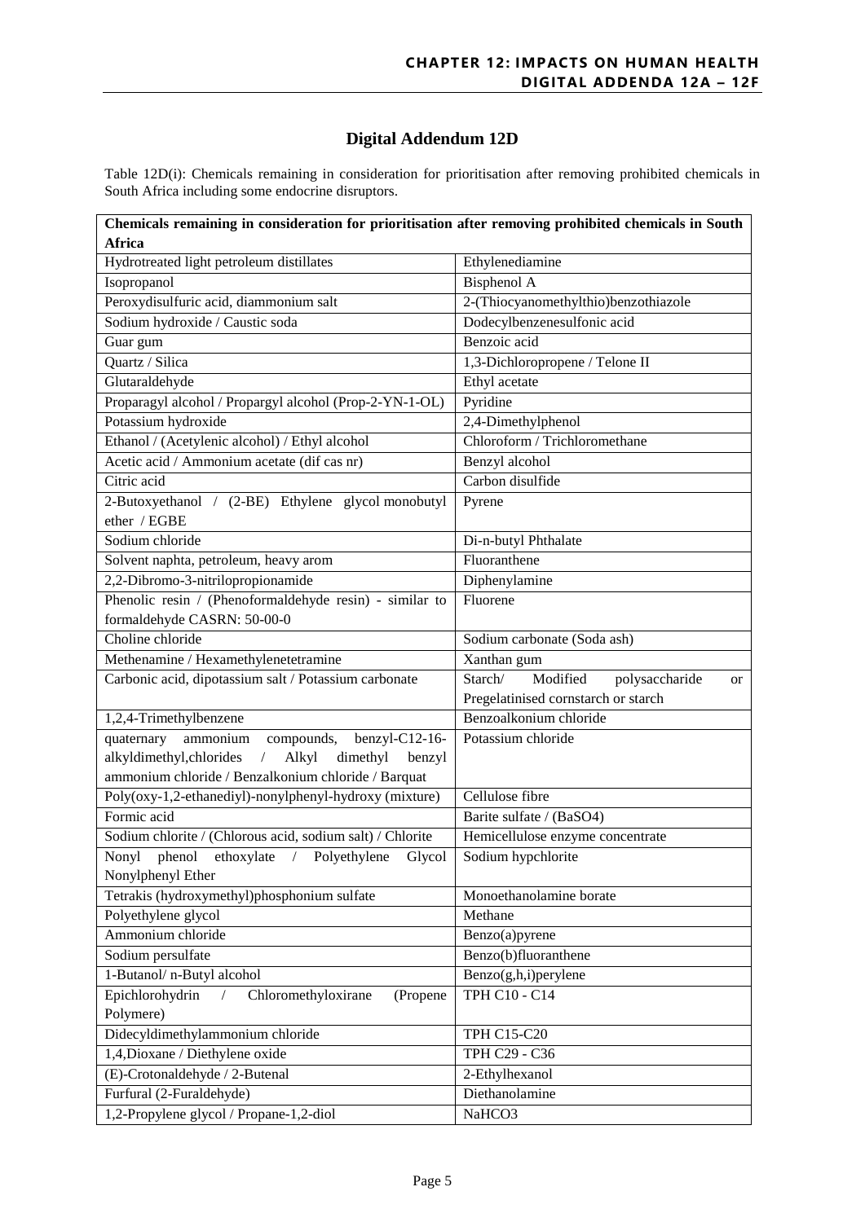## **Digital Addendum 12D**

Table 12D(i): Chemicals remaining in consideration for prioritisation after removing prohibited chemicals in South Africa including some endocrine disruptors.

| Chemicals remaining in consideration for prioritisation after removing prohibited chemicals in South |                                                        |  |  |  |  |
|------------------------------------------------------------------------------------------------------|--------------------------------------------------------|--|--|--|--|
| <b>Africa</b>                                                                                        |                                                        |  |  |  |  |
| Hydrotreated light petroleum distillates                                                             | Ethylenediamine                                        |  |  |  |  |
| Isopropanol                                                                                          | <b>Bisphenol A</b>                                     |  |  |  |  |
| Peroxydisulfuric acid, diammonium salt                                                               | 2-(Thiocyanomethylthio)benzothiazole                   |  |  |  |  |
| Sodium hydroxide / Caustic soda                                                                      | Dodecylbenzenesulfonic acid                            |  |  |  |  |
| Guar gum                                                                                             | Benzoic acid                                           |  |  |  |  |
| Quartz / Silica                                                                                      | 1,3-Dichloropropene / Telone II                        |  |  |  |  |
| Glutaraldehyde                                                                                       | Ethyl acetate                                          |  |  |  |  |
| Proparagyl alcohol / Propargyl alcohol (Prop-2-YN-1-OL)                                              | Pyridine                                               |  |  |  |  |
| Potassium hydroxide                                                                                  | 2,4-Dimethylphenol                                     |  |  |  |  |
| Ethanol / (Acetylenic alcohol) / Ethyl alcohol                                                       | Chloroform / Trichloromethane                          |  |  |  |  |
| Acetic acid / Ammonium acetate (dif cas nr)                                                          | Benzyl alcohol                                         |  |  |  |  |
| Citric acid                                                                                          | Carbon disulfide                                       |  |  |  |  |
| 2-Butoxyethanol / (2-BE) Ethylene glycol monobutyl                                                   | Pyrene                                                 |  |  |  |  |
| ether / EGBE                                                                                         |                                                        |  |  |  |  |
| Sodium chloride                                                                                      | Di-n-butyl Phthalate                                   |  |  |  |  |
| Solvent naphta, petroleum, heavy arom                                                                | Fluoranthene                                           |  |  |  |  |
| 2,2-Dibromo-3-nitrilopropionamide                                                                    | Diphenylamine                                          |  |  |  |  |
| Phenolic resin / (Phenoformaldehyde resin) - similar to                                              | Fluorene                                               |  |  |  |  |
| formaldehyde CASRN: 50-00-0                                                                          |                                                        |  |  |  |  |
| Choline chloride                                                                                     | Sodium carbonate (Soda ash)                            |  |  |  |  |
| Methenamine / Hexamethylenetetramine                                                                 | Xanthan gum                                            |  |  |  |  |
| Carbonic acid, dipotassium salt / Potassium carbonate                                                | Modified<br>Starch/<br>polysaccharide<br><sub>or</sub> |  |  |  |  |
|                                                                                                      | Pregelatinised cornstarch or starch                    |  |  |  |  |
| 1,2,4-Trimethylbenzene                                                                               | Benzoalkonium chloride                                 |  |  |  |  |
| quaternary<br>ammonium<br>compounds, benzyl-C12-16-                                                  | Potassium chloride                                     |  |  |  |  |
| alkyldimethyl, chlorides<br>Alkyl<br>dimethyl<br>benzyl<br>$\sqrt{2}$                                |                                                        |  |  |  |  |
| ammonium chloride / Benzalkonium chloride / Barquat                                                  |                                                        |  |  |  |  |
| Poly(oxy-1,2-ethanediyl)-nonylphenyl-hydroxy (mixture)                                               | Cellulose fibre                                        |  |  |  |  |
| Formic acid                                                                                          | Barite sulfate / (BaSO4)                               |  |  |  |  |
| Sodium chlorite / (Chlorous acid, sodium salt) / Chlorite                                            | Hemicellulose enzyme concentrate                       |  |  |  |  |
| Nonyl phenol<br>/ Polyethylene<br>ethoxylate<br>Glycol                                               | Sodium hypchlorite                                     |  |  |  |  |
| Nonylphenyl Ether                                                                                    |                                                        |  |  |  |  |
| Tetrakis (hydroxymethyl)phosphonium sulfate                                                          | Monoethanolamine borate                                |  |  |  |  |
| Polyethylene glycol                                                                                  | Methane                                                |  |  |  |  |
| Ammonium chloride                                                                                    | Benzo(a)pyrene                                         |  |  |  |  |
| Sodium persulfate                                                                                    | Benzo(b)fluoranthene                                   |  |  |  |  |
| 1-Butanol/n-Butyl alcohol                                                                            | Benzo(g,h,i)perylene                                   |  |  |  |  |
| Epichlorohydrin<br>Chloromethyloxirane<br>(Propene                                                   | TPH C10 - C14                                          |  |  |  |  |
| Polymere)                                                                                            |                                                        |  |  |  |  |
| Didecyldimethylammonium chloride                                                                     | TPH C15-C20                                            |  |  |  |  |
| 1,4, Dioxane / Diethylene oxide                                                                      | TPH C29 - C36                                          |  |  |  |  |
|                                                                                                      |                                                        |  |  |  |  |
| (E)-Crotonaldehyde / 2-Butenal                                                                       | 2-Ethylhexanol                                         |  |  |  |  |
| Furfural (2-Furaldehyde)                                                                             | Diethanolamine                                         |  |  |  |  |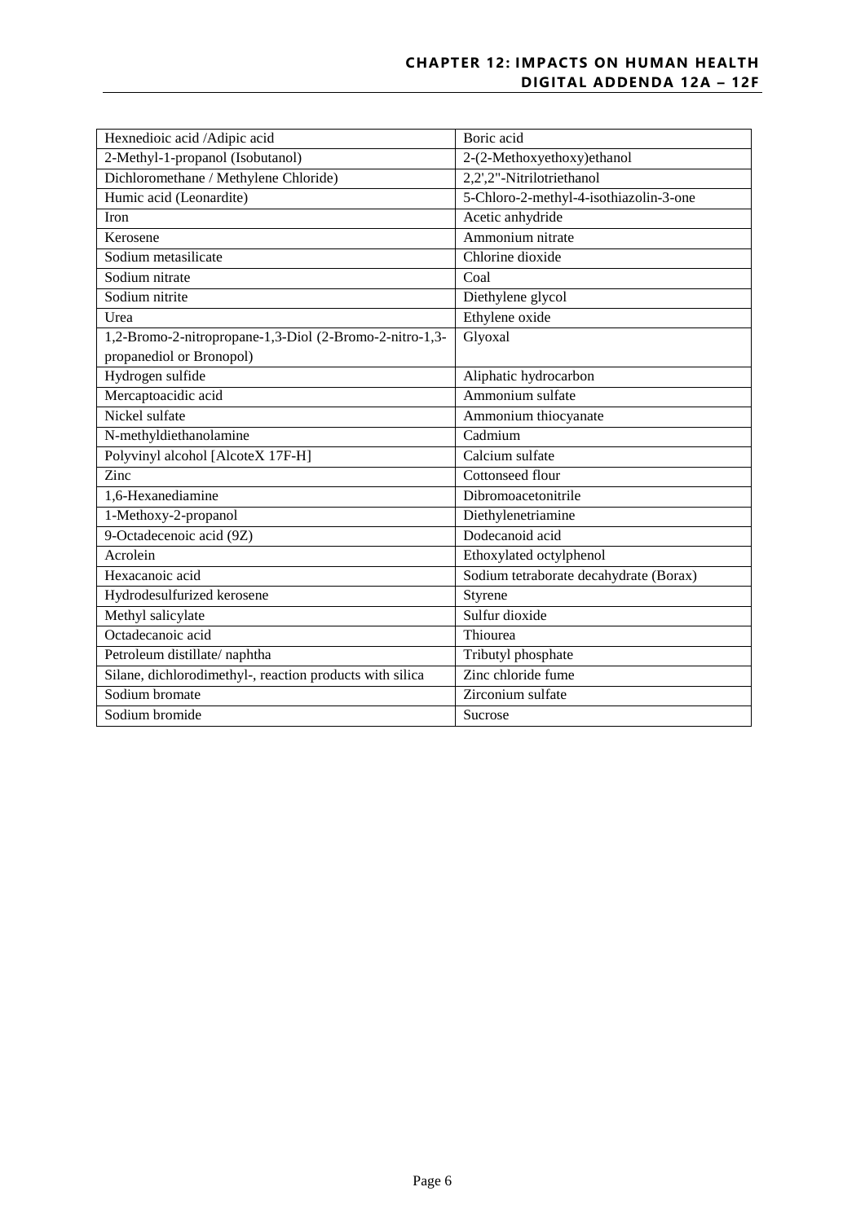#### **CHAPTER 12: IMPACTS ON HUMAN HEALTH DIGITAL ADDENDA 12A – 12F**

| Hexnedioic acid /Adipic acid                             | Boric acid                             |
|----------------------------------------------------------|----------------------------------------|
| 2-Methyl-1-propanol (Isobutanol)                         | 2-(2-Methoxyethoxy)ethanol             |
| Dichloromethane / Methylene Chloride)                    | 2,2',2"-Nitrilotriethanol              |
| Humic acid (Leonardite)                                  | 5-Chloro-2-methyl-4-isothiazolin-3-one |
| Iron                                                     | Acetic anhydride                       |
| Kerosene                                                 | Ammonium nitrate                       |
| Sodium metasilicate                                      | Chlorine dioxide                       |
| Sodium nitrate                                           | Coal                                   |
| Sodium nitrite                                           | Diethylene glycol                      |
| Urea                                                     | Ethylene oxide                         |
| 1,2-Bromo-2-nitropropane-1,3-Diol (2-Bromo-2-nitro-1,3-  | Glyoxal                                |
| propanediol or Bronopol)                                 |                                        |
| Hydrogen sulfide                                         | Aliphatic hydrocarbon                  |
| Mercaptoacidic acid                                      | Ammonium sulfate                       |
| Nickel sulfate                                           | Ammonium thiocyanate                   |
| N-methyldiethanolamine                                   | Cadmium                                |
| Polyvinyl alcohol [AlcoteX 17F-H]                        | Calcium sulfate                        |
| Zinc                                                     | Cottonseed flour                       |
| 1,6-Hexanediamine                                        | Dibromoacetonitrile                    |
| 1-Methoxy-2-propanol                                     | Diethylenetriamine                     |
| 9-Octadecenoic acid (9Z)                                 | Dodecanoid acid                        |
| Acrolein                                                 | Ethoxylated octylphenol                |
| Hexacanoic acid                                          | Sodium tetraborate decahydrate (Borax) |
| Hydrodesulfurized kerosene                               | Styrene                                |
| Methyl salicylate                                        | Sulfur dioxide                         |
| Octadecanoic acid                                        | Thiourea                               |
| Petroleum distillate/naphtha                             | Tributyl phosphate                     |
| Silane, dichlorodimethyl-, reaction products with silica | Zinc chloride fume                     |
| Sodium bromate                                           | Zirconium sulfate                      |
| Sodium bromide                                           | Sucrose                                |